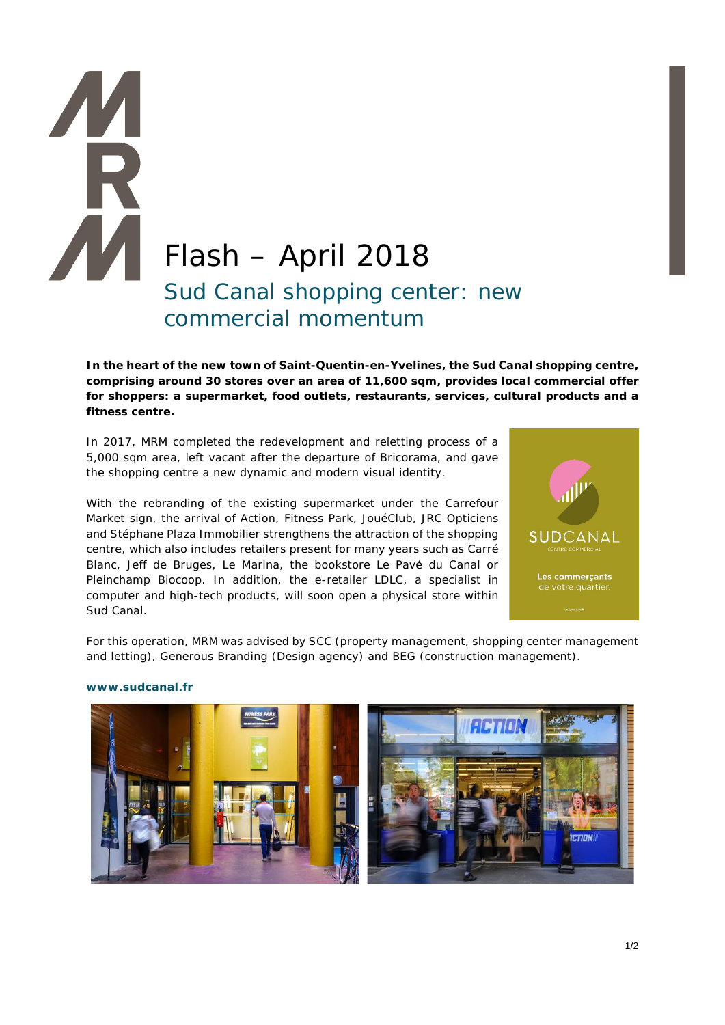## Flash – April 2018 Sud Canal shopping center: new commercial momentum

**In the heart of the new town of Saint-Quentin-en-Yvelines, the Sud Canal shopping centre, comprising around 30 stores over an area of 11,600 sqm, provides local commercial offer for shoppers: a supermarket, food outlets, restaurants, services, cultural products and a fitness centre.**

In 2017, MRM completed the redevelopment and reletting process of a 5,000 sqm area, left vacant after the departure of Bricorama, and gave the shopping centre a new dynamic and modern visual identity.

With the rebranding of the existing supermarket under the Carrefour Market sign, the arrival of Action, Fitness Park, JouéClub, JRC Opticiens and Stéphane Plaza Immobilier strengthens the attraction of the shopping centre, which also includes retailers present for many years such as Carré Blanc, Jeff de Bruges, Le Marina, the bookstore Le Pavé du Canal or Pleinchamp Biocoop. In addition, the e-retailer LDLC, a specialist in computer and high-tech products, will soon open a physical store within Sud Canal.



For this operation, MRM was advised by SCC (property management, shopping center management and letting), Generous Branding (Design agency) and BEG (construction management).



## **www.sudcanal.fr**